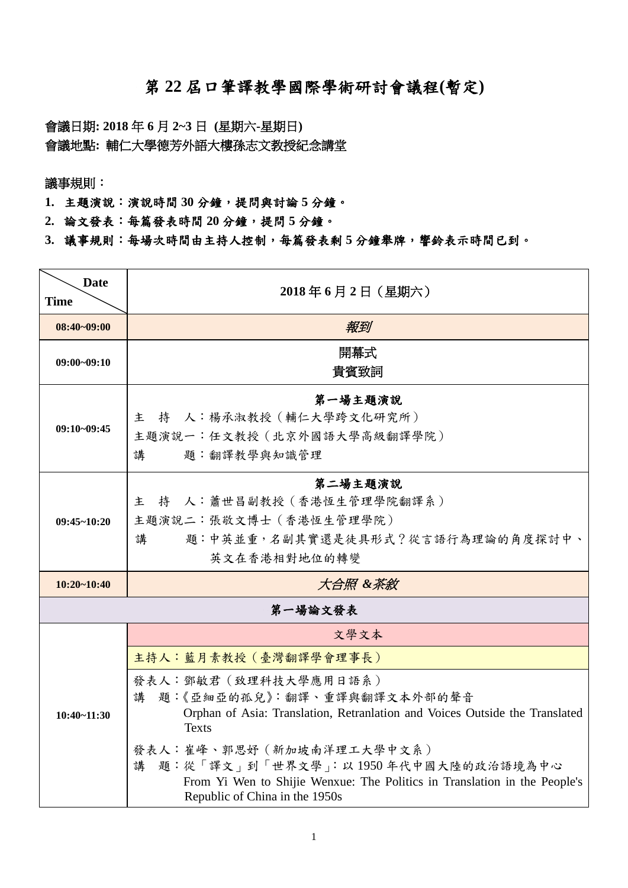## 第 **22** 屆口筆譯教學國際學術研討會議程**(**暫定**)**

會議日期**: 2018** 年 **6** 月 **2~3** 日 **(**星期六**-**星期日**)** 會議地點**:** 輔仁大學德芳外語大樓孫志文教授紀念講堂

議事規則:

**1.** 主題演說:演說時間 **30** 分鐘,提問與討論 **5** 分鐘。

- **2.** 論文發表:每篇發表時間 **20** 分鐘,提問 **5** 分鐘。
- **3.** 議事規則:每場次時間由主持人控制,每篇發表剩 **5** 分鐘舉牌,響鈴表示時間已到。

| <b>Date</b><br><b>Time</b> | 2018年6月2日 (星期六)                                                                                                                                                                    |
|----------------------------|------------------------------------------------------------------------------------------------------------------------------------------------------------------------------------|
| $08:40 - 09:00$            | 報到                                                                                                                                                                                 |
| $09:00 - 09:10$            | 開幕式<br>貴賓致詞                                                                                                                                                                        |
| $09:10-09:45$              | 第一場主題演說<br>持 人:楊承淑教授 (輔仁大學跨文化研究所)<br>主<br>主題演說一:任文教授 (北京外國語大學高級翻譯學院)<br>講<br>題:翻譯教學與知識管理                                                                                           |
| $09:45 - 10:20$            | 第二場主題演說<br>持 人:蕭世昌副教授 (香港恆生管理學院翻譯系)<br>主<br>主題演說二:張敬文博士 (香港恆生管理學院)<br>題:中英並重,名副其實還是徒具形式?從言語行為理論的角度探討中、<br>講<br>英文在香港相對地位的轉變                                                        |
| $10:20 - 10:40$            | 大合照 &茶敘                                                                                                                                                                            |
|                            | 第一場論文發表                                                                                                                                                                            |
| $10:40 - 11:30$            | 文學文本                                                                                                                                                                               |
|                            | 主持人:藍月素教授 (臺灣翻譯學會理事長)                                                                                                                                                              |
|                            | 發表人:鄧敏君 (致理科技大學應用日語系)<br>講 題:《亞細亞的孤兒》:翻譯、重譯與翻譯文本外部的聲音<br>Orphan of Asia: Translation, Retranlation and Voices Outside the Translated<br><b>Texts</b>                               |
|                            | 發表人:崔峰、郭思妤(新加坡南洋理工大學中文系)<br>題:從「譯文」到「世界文學」:以1950年代中國大陸的政治語境為中心<br>講<br>From Yi Wen to Shijie Wenxue: The Politics in Translation in the People's<br>Republic of China in the 1950s |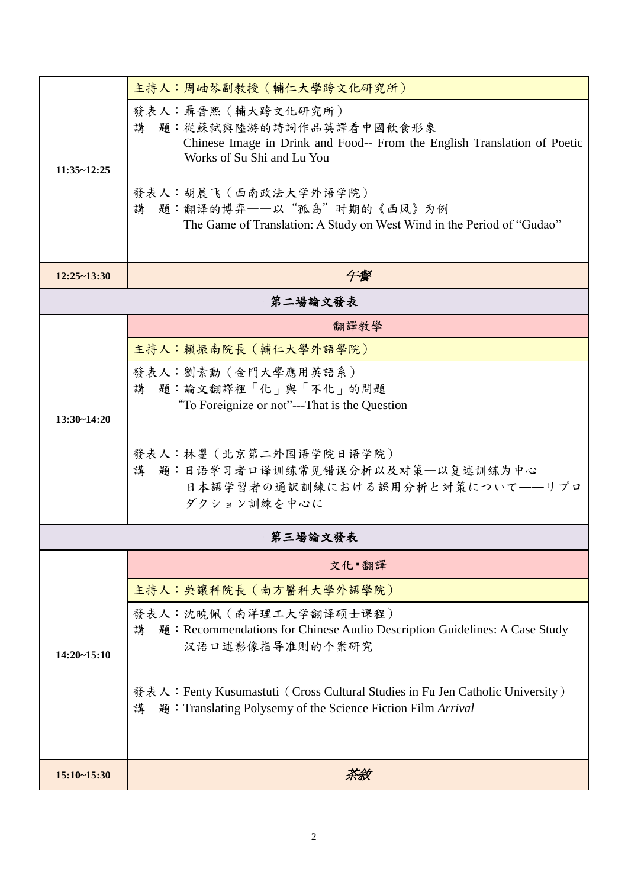| $11:35 - 12:25$ | 主持人:周岫琴副教授 (輔仁大學跨文化研究所)                                                                                                                                  |  |
|-----------------|----------------------------------------------------------------------------------------------------------------------------------------------------------|--|
|                 | 發表人:聶晉熙 (輔大跨文化研究所)<br>講 题:從蘇軾與陸游的詩詞作品英譯看中國飲食形象<br>Chinese Image in Drink and Food-- From the English Translation of Poetic<br>Works of Su Shi and Lu You |  |
|                 | 發表人:胡晨飞 (西南政法大学外语学院)<br>講 題:翻译的博弈——以"孤岛"时期的《西风》为例<br>The Game of Translation: A Study on West Wind in the Period of "Gudao"                              |  |
| $12:25 - 13:30$ | 午餐                                                                                                                                                       |  |
| 第二場論文發表         |                                                                                                                                                          |  |
|                 | 翻譯教學                                                                                                                                                     |  |
|                 | 主持人:賴振南院長(輔仁大學外語學院)                                                                                                                                      |  |
|                 | 發表人:劉素勳 (金門大學應用英語系)                                                                                                                                      |  |
|                 | 講 題:論文翻譯裡「化」與「不化」的問題<br>"To Foreignize or not"---That is the Question                                                                                    |  |
| $13:30 - 14:20$ |                                                                                                                                                          |  |
|                 | 發表人:林曌 (北京第二外国语学院日语学院)                                                                                                                                   |  |
|                 | 講 題:日语学习者口译训练常见错误分析以及对策-以复述训练为中心                                                                                                                         |  |
|                 | 日本語学習者の通訳訓練における誤用分析と対策について --リプロ<br>ダクション訓練を中心に                                                                                                          |  |
|                 |                                                                                                                                                          |  |
|                 | 第三場論文發表                                                                                                                                                  |  |
|                 | 文化 翻譯                                                                                                                                                    |  |
|                 | 主持人:吳讓科院長 (南方醫科大學外語學院)                                                                                                                                   |  |
| $14:20 - 15:10$ | 發表人:沈曉佩 (南洋理工大学翻译硕士课程)<br>題:Recommendations for Chinese Audio Description Guidelines: A Case Study<br>講<br>汉语口述影像指导准则的个案研究                               |  |
|                 | 發表人: Fenty Kusumastuti (Cross Cultural Studies in Fu Jen Catholic University)<br>題:Translating Polysemy of the Science Fiction Film Arrival<br>講         |  |
| $15:10-15:30$   | 茶敘                                                                                                                                                       |  |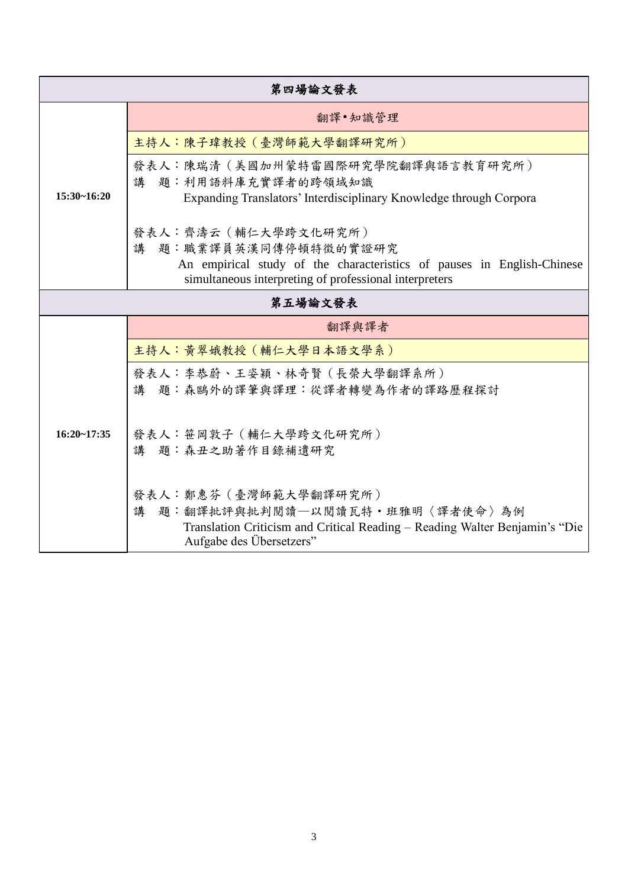| 第四場論文發表         |                                                                                                                                                                                   |  |
|-----------------|-----------------------------------------------------------------------------------------------------------------------------------------------------------------------------------|--|
| $15:30 - 16:20$ | 翻譯 知識管理                                                                                                                                                                           |  |
|                 | 主持人:陳子瑋教授 (臺灣師範大學翻譯研究所)                                                                                                                                                           |  |
|                 | 發表人:陳瑞清(美國加州蒙特雷國際研究學院翻譯與語言教育研究所)<br>講 題:利用語料庫充實譯者的跨領域知識<br>Expanding Translators' Interdisciplinary Knowledge through Corpora                                                     |  |
|                 | 發表人:齊濤云 (輔仁大學跨文化研究所)<br>講 題:職業譯員英漢同傳停頓特徵的實證研究<br>An empirical study of the characteristics of pauses in English-Chinese<br>simultaneous interpreting of professional interpreters |  |
| 第五場論文發表         |                                                                                                                                                                                   |  |
| $16:20 - 17:35$ | 翻譯與譯者                                                                                                                                                                             |  |
|                 | 主持人: 黃翠娥教授 (輔仁大學日本語文學系)                                                                                                                                                           |  |
|                 | 發表人:李恭蔚、王姿穎、林奇賢 (長榮大學翻譯系所)<br>講 題:森鷗外的譯筆與譯理:從譯者轉變為作者的譯路歷程探討                                                                                                                       |  |
|                 | 發表人:笹岡敦子 (輔仁大學跨文化研究所)<br>講 題:森丑之助著作目錄補遺研究                                                                                                                                         |  |
|                 | 發表人:鄭惠芬 (臺灣師範大學翻譯研究所)<br>講<br>題:翻譯批評與批判閱讀—以閱讀瓦特·班雅明〈譯者使命〉為例<br>Translation Criticism and Critical Reading – Reading Walter Benjamin's "Die<br>Aufgabe des Übersetzers"            |  |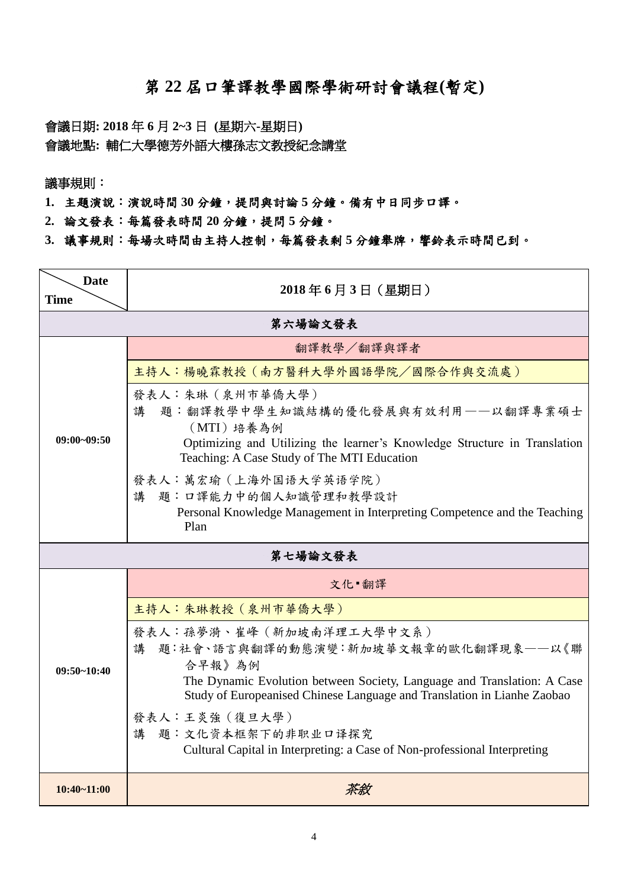## 第 **22** 屆口筆譯教學國際學術研討會議程**(**暫定**)**

會議日期**: 2018** 年 **6** 月 **2~3** 日 **(**星期六**-**星期日**)** 會議地點**:** 輔仁大學德芳外語大樓孫志文教授紀念講堂

議事規則:

**1.** 主題演說:演說時間 **30** 分鐘,提問與討論 **5** 分鐘。備有中日同步口譯。

- **2.** 論文發表:每篇發表時間 **20** 分鐘,提問 **5** 分鐘。
- **3.** 議事規則:每場次時間由主持人控制,每篇發表剩 **5** 分鐘舉牌,響鈴表示時間已到。

| <b>Date</b><br><b>Time</b> | 2018年6月3日 (星期日)                                                                                                                                                                                                                       |  |
|----------------------------|---------------------------------------------------------------------------------------------------------------------------------------------------------------------------------------------------------------------------------------|--|
| 第六場論文發表                    |                                                                                                                                                                                                                                       |  |
| $09:00 - 09:50$            | 翻譯教學/翻譯與譯者                                                                                                                                                                                                                            |  |
|                            | 主持人:楊曉霖教授 (南方醫科大學外國語學院/國際合作與交流處)                                                                                                                                                                                                      |  |
|                            | 發表人:朱琳 (泉州市華僑大學)<br>題:翻譯教學中學生知識結構的優化發展與有效利用——以翻譯專業碩士<br>講<br>(MTI)培養為例<br>Optimizing and Utilizing the learner's Knowledge Structure in Translation<br>Teaching: A Case Study of The MTI Education                                    |  |
|                            | 發表人:萬宏瑜 (上海外国语大学英语学院)<br>題:口譯能力中的個人知識管理和教學設計<br>講<br>Personal Knowledge Management in Interpreting Competence and the Teaching<br>Plan                                                                                                |  |
|                            | 第七場論文發表                                                                                                                                                                                                                               |  |
|                            | 文化 翻譯                                                                                                                                                                                                                                 |  |
|                            | 主持人:朱琳教授 (泉州市華僑大學)                                                                                                                                                                                                                    |  |
| $09:50-10:40$              | 發表人:孫夢漪、崔峰 (新加坡南洋理工大學中文系)<br>題:社會、語言與翻譯的動態演變:新加坡華文報章的歐化翻譯現象——以《聯<br>講<br>合早報》為例<br>The Dynamic Evolution between Society, Language and Translation: A Case<br>Study of Europeanised Chinese Language and Translation in Lianhe Zaobao |  |
|                            | 發表人:王炎強 (復旦大學)<br>題:文化资本框架下的非职业口译探究<br>講<br>Cultural Capital in Interpreting: a Case of Non-professional Interpreting                                                                                                                 |  |
| $10:40 - 11:00$            | 茶敘                                                                                                                                                                                                                                    |  |